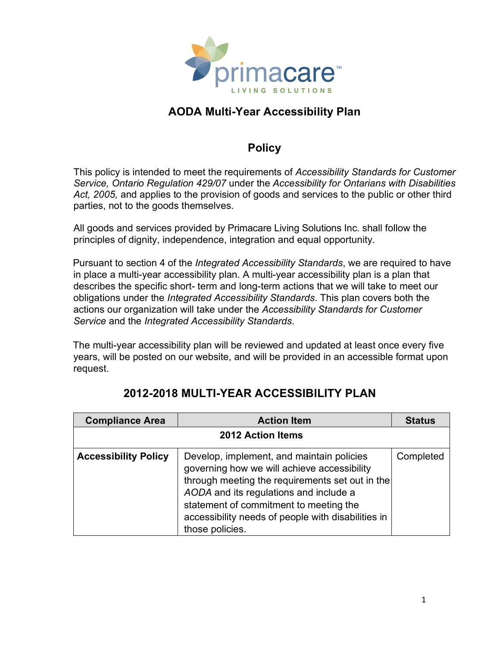

#### **Policy**

This policy is intended to meet the requirements of *Accessibility Standards for Customer Service, Ontario Regulation 429/07* under the *Accessibility for Ontarians with Disabilities Act, 2005,* and applies to the provision of goods and services to the public or other third parties, not to the goods themselves.

All goods and services provided by Primacare Living Solutions Inc. shall follow the principles of dignity, independence, integration and equal opportunity.

Pursuant to section 4 of the *Integrated Accessibility Standards*, we are required to have in place a multi-year accessibility plan. A multi-year accessibility plan is a plan that describes the specific short- term and long-term actions that we will take to meet our obligations under the *Integrated Accessibility Standards*. This plan covers both the actions our organization will take under the *Accessibility Standards for Customer Service* and the *Integrated Accessibility Standards*.

The multi-year accessibility plan will be reviewed and updated at least once every five years, will be posted on our website, and will be provided in an accessible format upon request.

| <b>Compliance Area</b>      | <b>Action Item</b>                                                                                                                                                                                                                                                                                       | <b>Status</b> |
|-----------------------------|----------------------------------------------------------------------------------------------------------------------------------------------------------------------------------------------------------------------------------------------------------------------------------------------------------|---------------|
| <b>2012 Action Items</b>    |                                                                                                                                                                                                                                                                                                          |               |
| <b>Accessibility Policy</b> | Develop, implement, and maintain policies<br>governing how we will achieve accessibility<br>through meeting the requirements set out in the<br>AODA and its regulations and include a<br>statement of commitment to meeting the<br>accessibility needs of people with disabilities in<br>those policies. | Completed     |

#### **2012-2018 MULTI-YEAR ACCESSIBILITY PLAN**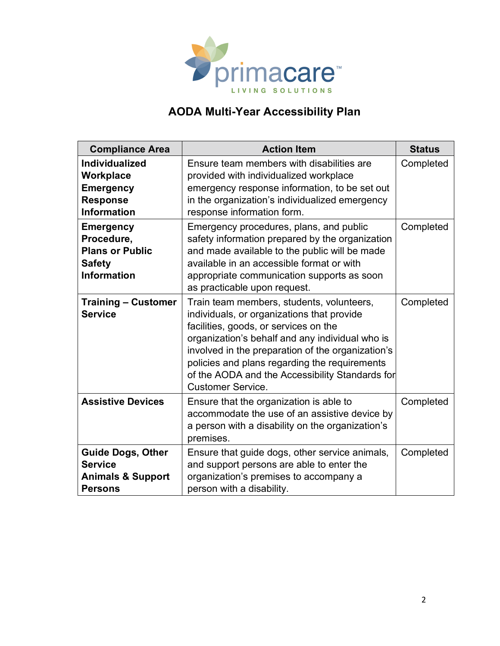

| <b>Compliance Area</b>                                                                          | <b>Action Item</b>                                                                                                                                                                                                                                                                                                                                                       | <b>Status</b> |
|-------------------------------------------------------------------------------------------------|--------------------------------------------------------------------------------------------------------------------------------------------------------------------------------------------------------------------------------------------------------------------------------------------------------------------------------------------------------------------------|---------------|
| <b>Individualized</b><br>Workplace<br><b>Emergency</b><br><b>Response</b><br><b>Information</b> | Ensure team members with disabilities are<br>provided with individualized workplace<br>emergency response information, to be set out<br>in the organization's individualized emergency<br>response information form.                                                                                                                                                     | Completed     |
| <b>Emergency</b><br>Procedure,<br><b>Plans or Public</b><br><b>Safety</b><br><b>Information</b> | Emergency procedures, plans, and public<br>safety information prepared by the organization<br>and made available to the public will be made<br>available in an accessible format or with<br>appropriate communication supports as soon<br>as practicable upon request.                                                                                                   | Completed     |
| <b>Training – Customer</b><br><b>Service</b>                                                    | Train team members, students, volunteers,<br>individuals, or organizations that provide<br>facilities, goods, or services on the<br>organization's behalf and any individual who is<br>involved in the preparation of the organization's<br>policies and plans regarding the requirements<br>of the AODA and the Accessibility Standards for<br><b>Customer Service.</b> | Completed     |
| <b>Assistive Devices</b>                                                                        | Ensure that the organization is able to<br>accommodate the use of an assistive device by<br>a person with a disability on the organization's<br>premises.                                                                                                                                                                                                                | Completed     |
| <b>Guide Dogs, Other</b><br><b>Service</b><br><b>Animals &amp; Support</b><br><b>Persons</b>    | Ensure that guide dogs, other service animals,<br>and support persons are able to enter the<br>organization's premises to accompany a<br>person with a disability.                                                                                                                                                                                                       | Completed     |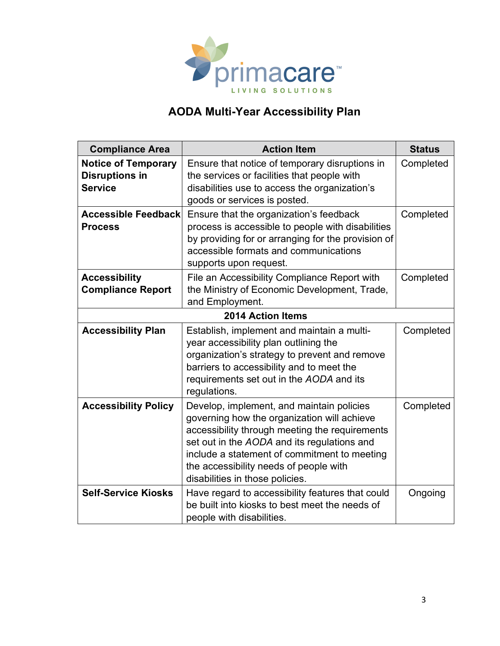

| <b>Compliance Area</b>                                                | <b>Action Item</b>                                                                                                                                                                                                                                                                                                     | <b>Status</b> |
|-----------------------------------------------------------------------|------------------------------------------------------------------------------------------------------------------------------------------------------------------------------------------------------------------------------------------------------------------------------------------------------------------------|---------------|
| <b>Notice of Temporary</b><br><b>Disruptions in</b><br><b>Service</b> | Ensure that notice of temporary disruptions in<br>the services or facilities that people with<br>disabilities use to access the organization's<br>goods or services is posted.                                                                                                                                         | Completed     |
| <b>Accessible Feedback</b><br><b>Process</b>                          | Ensure that the organization's feedback<br>process is accessible to people with disabilities<br>by providing for or arranging for the provision of<br>accessible formats and communications<br>supports upon request.                                                                                                  | Completed     |
| <b>Accessibility</b><br><b>Compliance Report</b>                      | File an Accessibility Compliance Report with<br>the Ministry of Economic Development, Trade,<br>and Employment.                                                                                                                                                                                                        | Completed     |
| <b>2014 Action Items</b>                                              |                                                                                                                                                                                                                                                                                                                        |               |
| <b>Accessibility Plan</b>                                             | Establish, implement and maintain a multi-<br>year accessibility plan outlining the<br>organization's strategy to prevent and remove<br>barriers to accessibility and to meet the<br>requirements set out in the AODA and its<br>regulations.                                                                          | Completed     |
| <b>Accessibility Policy</b>                                           | Develop, implement, and maintain policies<br>governing how the organization will achieve<br>accessibility through meeting the requirements<br>set out in the AODA and its regulations and<br>include a statement of commitment to meeting<br>the accessibility needs of people with<br>disabilities in those policies. | Completed     |
| <b>Self-Service Kiosks</b>                                            | Have regard to accessibility features that could<br>be built into kiosks to best meet the needs of<br>people with disabilities.                                                                                                                                                                                        | Ongoing       |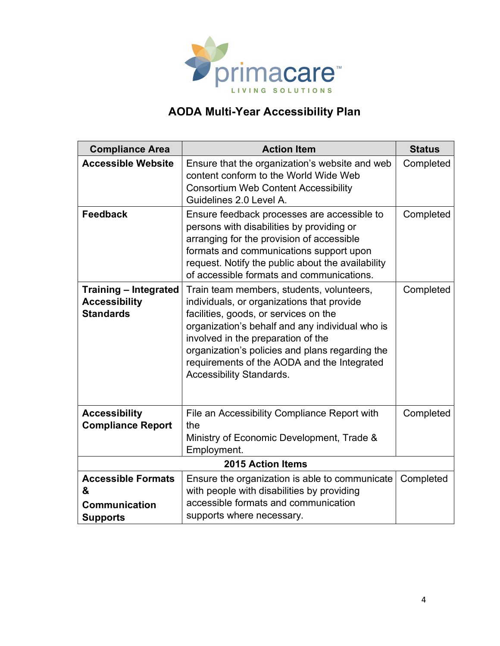

| <b>Compliance Area</b>                                                   | <b>Action Item</b>                                                                                                                                                                                                                                                                                                                                      | <b>Status</b> |
|--------------------------------------------------------------------------|---------------------------------------------------------------------------------------------------------------------------------------------------------------------------------------------------------------------------------------------------------------------------------------------------------------------------------------------------------|---------------|
| <b>Accessible Website</b>                                                | Ensure that the organization's website and web<br>content conform to the World Wide Web<br><b>Consortium Web Content Accessibility</b><br>Guidelines 2.0 Level A.                                                                                                                                                                                       | Completed     |
| <b>Feedback</b>                                                          | Ensure feedback processes are accessible to<br>persons with disabilities by providing or<br>arranging for the provision of accessible<br>formats and communications support upon<br>request. Notify the public about the availability<br>of accessible formats and communications.                                                                      | Completed     |
| <b>Training - Integrated</b><br><b>Accessibility</b><br><b>Standards</b> | Train team members, students, volunteers,<br>individuals, or organizations that provide<br>facilities, goods, or services on the<br>organization's behalf and any individual who is<br>involved in the preparation of the<br>organization's policies and plans regarding the<br>requirements of the AODA and the Integrated<br>Accessibility Standards. | Completed     |
| <b>Accessibility</b><br><b>Compliance Report</b>                         | File an Accessibility Compliance Report with<br>the<br>Ministry of Economic Development, Trade &<br>Employment.                                                                                                                                                                                                                                         | Completed     |
| <b>2015 Action Items</b>                                                 |                                                                                                                                                                                                                                                                                                                                                         |               |
| <b>Accessible Formats</b><br>&                                           | Ensure the organization is able to communicate<br>with people with disabilities by providing                                                                                                                                                                                                                                                            | Completed     |
| <b>Communication</b><br><b>Supports</b>                                  | accessible formats and communication<br>supports where necessary.                                                                                                                                                                                                                                                                                       |               |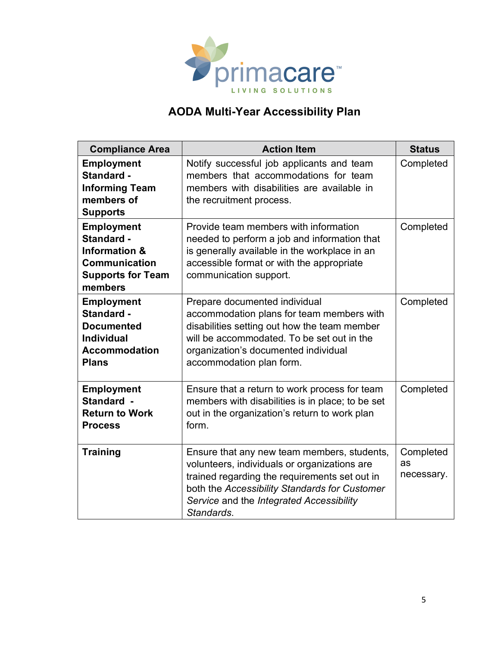

| <b>Compliance Area</b>                                                                                                     | <b>Action Item</b>                                                                                                                                                                                                                                      | <b>Status</b>                 |
|----------------------------------------------------------------------------------------------------------------------------|---------------------------------------------------------------------------------------------------------------------------------------------------------------------------------------------------------------------------------------------------------|-------------------------------|
| <b>Employment</b><br>Standard -<br><b>Informing Team</b><br>members of<br><b>Supports</b>                                  | Notify successful job applicants and team<br>members that accommodations for team<br>members with disabilities are available in<br>the recruitment process.                                                                                             | Completed                     |
| <b>Employment</b><br>Standard -<br><b>Information &amp;</b><br><b>Communication</b><br><b>Supports for Team</b><br>members | Provide team members with information<br>needed to perform a job and information that<br>is generally available in the workplace in an<br>accessible format or with the appropriate<br>communication support.                                           | Completed                     |
| <b>Employment</b><br>Standard -<br><b>Documented</b><br><b>Individual</b><br><b>Accommodation</b><br><b>Plans</b>          | Prepare documented individual<br>accommodation plans for team members with<br>disabilities setting out how the team member<br>will be accommodated. To be set out in the<br>organization's documented individual<br>accommodation plan form.            | Completed                     |
| <b>Employment</b><br>Standard -<br><b>Return to Work</b><br><b>Process</b>                                                 | Ensure that a return to work process for team<br>members with disabilities is in place; to be set<br>out in the organization's return to work plan<br>form.                                                                                             | Completed                     |
| <b>Training</b>                                                                                                            | Ensure that any new team members, students,<br>volunteers, individuals or organizations are<br>trained regarding the requirements set out in<br>both the Accessibility Standards for Customer<br>Service and the Integrated Accessibility<br>Standards. | Completed<br>as<br>necessary. |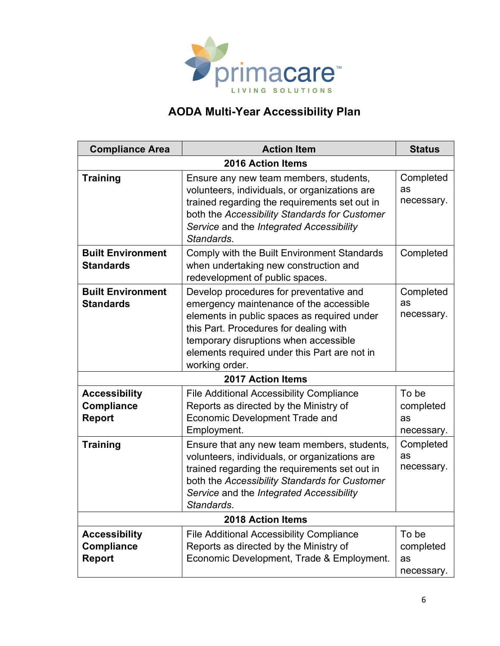

| <b>Compliance Area</b>                              | <b>Action Item</b>                                                                                                                                                                                                                                                                     | <b>Status</b>                          |
|-----------------------------------------------------|----------------------------------------------------------------------------------------------------------------------------------------------------------------------------------------------------------------------------------------------------------------------------------------|----------------------------------------|
| <b>2016 Action Items</b>                            |                                                                                                                                                                                                                                                                                        |                                        |
| <b>Training</b>                                     | Ensure any new team members, students,<br>volunteers, individuals, or organizations are<br>trained regarding the requirements set out in<br>both the Accessibility Standards for Customer<br>Service and the Integrated Accessibility<br>Standards.                                    | Completed<br>as<br>necessary.          |
| <b>Built Environment</b><br><b>Standards</b>        | Comply with the Built Environment Standards<br>when undertaking new construction and<br>redevelopment of public spaces.                                                                                                                                                                | Completed                              |
| <b>Built Environment</b><br><b>Standards</b>        | Develop procedures for preventative and<br>emergency maintenance of the accessible<br>elements in public spaces as required under<br>this Part. Procedures for dealing with<br>temporary disruptions when accessible<br>elements required under this Part are not in<br>working order. | Completed<br>as<br>necessary.          |
|                                                     | <b>2017 Action Items</b>                                                                                                                                                                                                                                                               |                                        |
| <b>Accessibility</b><br><b>Compliance</b><br>Report | <b>File Additional Accessibility Compliance</b><br>Reports as directed by the Ministry of<br><b>Economic Development Trade and</b><br>Employment.                                                                                                                                      | To be<br>completed<br>as<br>necessary. |
| <b>Training</b>                                     | Ensure that any new team members, students,<br>volunteers, individuals, or organizations are<br>trained regarding the requirements set out in<br>both the Accessibility Standards for Customer<br>Service and the Integrated Accessibility<br>Standards.                               | Completed<br>as<br>necessary.          |
| <b>2018 Action Items</b>                            |                                                                                                                                                                                                                                                                                        |                                        |
| <b>Accessibility</b><br>Compliance<br><b>Report</b> | <b>File Additional Accessibility Compliance</b><br>Reports as directed by the Ministry of<br>Economic Development, Trade & Employment.                                                                                                                                                 | To be<br>completed<br>as<br>necessary. |